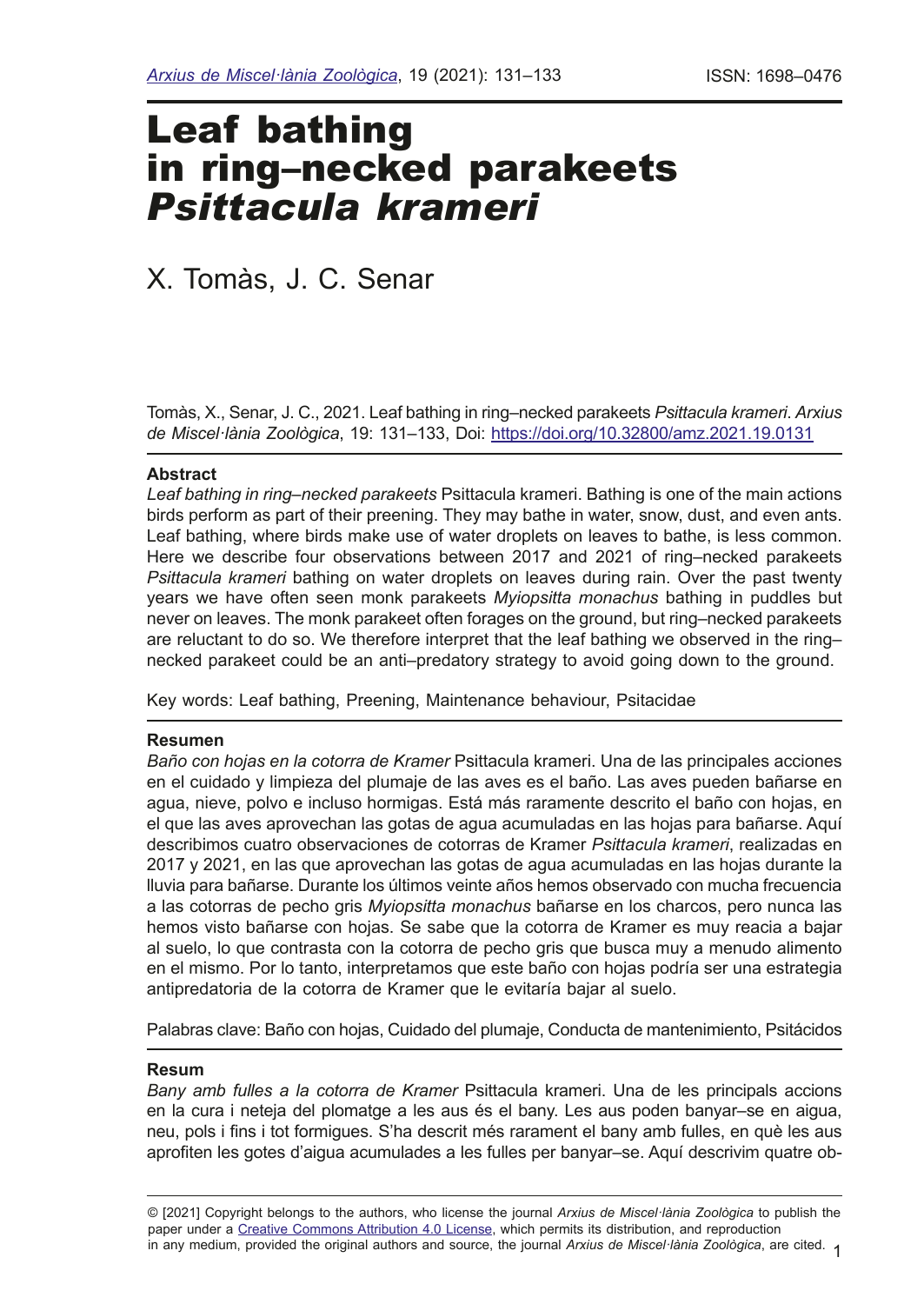# Leaf bathing in ring–necked parakeets *Psittacula krameri*

# X. Tomàs, J. C. Senar

Tomàs, X., Senar, J. C., 2021. Leaf bathing in ring–necked parakeets *Psittacula krameri*. *Arxius de Miscel·lània Zoològica*, 19: 131–133, Doi: <https://doi.org/10.32800/amz.2021.19.0131>

#### **Abstract**

*Leaf bathing in ring–necked parakeets* Psittacula krameri. Bathing is one of the main actions birds perform as part of their preening. They may bathe in water, snow, dust, and even ants. Leaf bathing, where birds make use of water droplets on leaves to bathe, is less common. Here we describe four observations between 2017 and 2021 of ring–necked parakeets *Psittacula krameri* bathing on water droplets on leaves during rain. Over the past twenty years we have often seen monk parakeets *Myiopsitta monachus* bathing in puddles but never on leaves. The monk parakeet often forages on the ground, but ring–necked parakeets are reluctant to do so. We therefore interpret that the leaf bathing we observed in the ring– necked parakeet could be an anti–predatory strategy to avoid going down to the ground.

Key words: Leaf bathing, Preening, Maintenance behaviour, Psitacidae

#### **Resumen**

*Baño con hojas en la cotorra de Kramer* Psittacula krameri. Una de las principales acciones en el cuidado y limpieza del plumaje de las aves es el baño. Las aves pueden bañarse en agua, nieve, polvo e incluso hormigas. Está más raramente descrito el baño con hojas, en el que las aves aprovechan las gotas de agua acumuladas en las hojas para bañarse. Aquí describimos cuatro observaciones de cotorras de Kramer *Psittacula krameri*, realizadas en 2017 y 2021, en las que aprovechan las gotas de agua acumuladas en las hojas durante la lluvia para bañarse. Durante los últimos veinte años hemos observado con mucha frecuencia a las cotorras de pecho gris *Myiopsitta monachus* bañarse en los charcos, pero nunca las hemos visto bañarse con hojas. Se sabe que la cotorra de Kramer es muy reacia a bajar al suelo, lo que contrasta con la cotorra de pecho gris que busca muy a menudo alimento en el mismo. Por lo tanto, interpretamos que este baño con hojas podría ser una estrategia antipredatoria de la cotorra de Kramer que le evitaría bajar al suelo.

Palabras clave: Baño con hojas, Cuidado del plumaje, Conducta de mantenimiento, Psitácidos

#### **Resum**

*Bany amb fulles a la cotorra de Kramer* Psittacula krameri. Una de les principals accions en la cura i neteja del plomatge a les aus és el bany. Les aus poden banyar–se en aigua, neu, pols i fns i tot formigues. S'ha descrit més rarament el bany amb fulles, en què les aus aproften les gotes d'aigua acumulades a les fulles per banyar–se. Aquí descrivim quatre ob-

1 in any medium, provided the original authors and source, the journal *Arxius de Miscel·lània Zoològica*, are cited. © [2021] Copyright belongs to the authors, who license the journal *Arxius de Miscel·lània Zoològica* to publish the paper under a [Creative Commons Attribution 4.0 License,](http://creativecommons.org/licenses/by/4.0/deed.en) which permits its distribution, and reproduction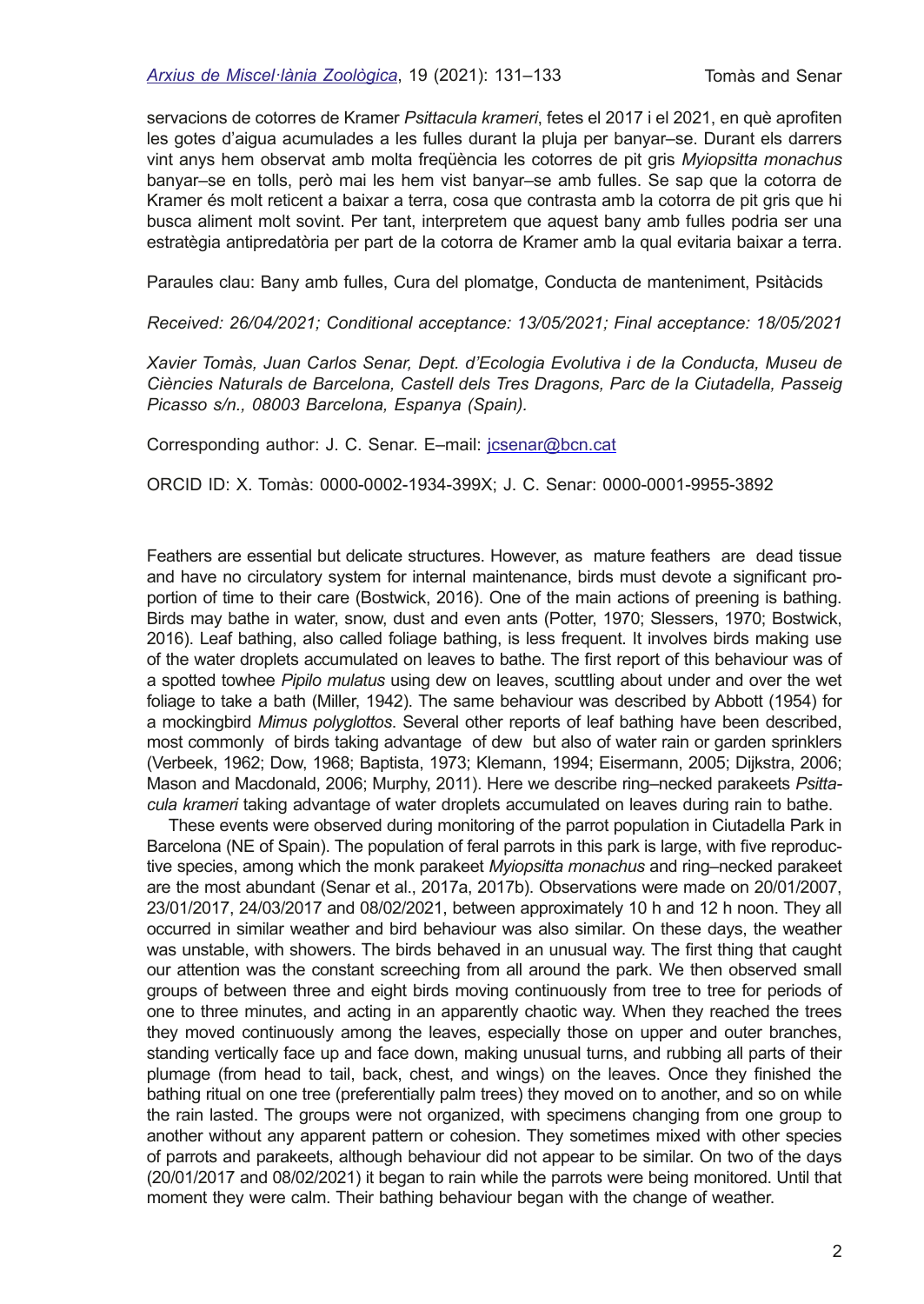servacions de cotorres de Kramer *Psittacula krameri*, fetes el 2017 i el 2021, en què aproften les gotes d'aigua acumulades a les fulles durant la pluja per banyar–se. Durant els darrers vint anys hem observat amb molta freqüència les cotorres de pit gris *Myiopsitta monachus* banyar–se en tolls, però mai les hem vist banyar–se amb fulles. Se sap que la cotorra de Kramer és molt reticent a baixar a terra, cosa que contrasta amb la cotorra de pit gris que hi busca aliment molt sovint. Per tant, interpretem que aquest bany amb fulles podria ser una estratègia antipredatòria per part de la cotorra de Kramer amb la qual evitaria baixar a terra.

Paraules clau: Bany amb fulles, Cura del plomatge, Conducta de manteniment, Psitàcids

*Received: 26/04/2021; Conditional acceptance: 13/05/2021; Final acceptance: 18/05/2021*

*Xavier Tomàs, Juan Carlos Senar, Dept. d'Ecologia Evolutiva i de la Conducta, Museu de Ciències Naturals de Barcelona, Castell dels Tres Dragons, Parc de la Ciutadella, Passeig Picasso s/n., 08003 Barcelona, Espanya (Spain).*

Corresponding author: J. C. Senar. E-mail: [jcsenar@bcn.cat](mailto:jcsenar@bcn.cat)

ORCID ID: X. Tomàs: 0000-0002-1934-399X; J. C. Senar: 0000-0001-9955-3892

Feathers are essential but delicate structures. However, as mature feathers are dead tissue and have no circulatory system for internal maintenance, birds must devote a signifcant proportion of time to their care (Bostwick, 2016). One of the main actions of preening is bathing. Birds may bathe in water, snow, dust and even ants (Potter, 1970; Slessers, 1970; Bostwick, 2016). Leaf bathing, also called foliage bathing, is less frequent. It involves birds making use of the water droplets accumulated on leaves to bathe. The frst report of this behaviour was of a spotted towhee *Pipilo mulatus* using dew on leaves, scuttling about under and over the wet foliage to take a bath (Miller, 1942). The same behaviour was described by Abbott (1954) for a mockingbird *Mimus polyglottos*. Several other reports of leaf bathing have been described, most commonly of birds taking advantage of dew but also of water rain or garden sprinklers (Verbeek, 1962; Dow, 1968; Baptista, 1973; Klemann, 1994; Eisermann, 2005; Dijkstra, 2006; Mason and Macdonald, 2006; Murphy, 2011). Here we describe ring–necked parakeets *Psittacula krameri* taking advantage of water droplets accumulated on leaves during rain to bathe.

These events were observed during monitoring of the parrot population in Ciutadella Park in Barcelona (NE of Spain). The population of feral parrots in this park is large, with five reproductive species, among which the monk parakeet *Myiopsitta monachus* and ring–necked parakeet are the most abundant (Senar et al., 2017a, 2017b). Observations were made on 20/01/2007, 23/01/2017, 24/03/2017 and 08/02/2021, between approximately 10 h and 12 h noon. They all occurred in similar weather and bird behaviour was also similar. On these days, the weather was unstable, with showers. The birds behaved in an unusual way. The frst thing that caught our attention was the constant screeching from all around the park. We then observed small groups of between three and eight birds moving continuously from tree to tree for periods of one to three minutes, and acting in an apparently chaotic way. When they reached the trees they moved continuously among the leaves, especially those on upper and outer branches, standing vertically face up and face down, making unusual turns, and rubbing all parts of their plumage (from head to tail, back, chest, and wings) on the leaves. Once they fnished the bathing ritual on one tree (preferentially palm trees) they moved on to another, and so on while the rain lasted. The groups were not organized, with specimens changing from one group to another without any apparent pattern or cohesion. They sometimes mixed with other species of parrots and parakeets, although behaviour did not appear to be similar. On two of the days (20/01/2017 and 08/02/2021) it began to rain while the parrots were being monitored. Until that moment they were calm. Their bathing behaviour began with the change of weather.